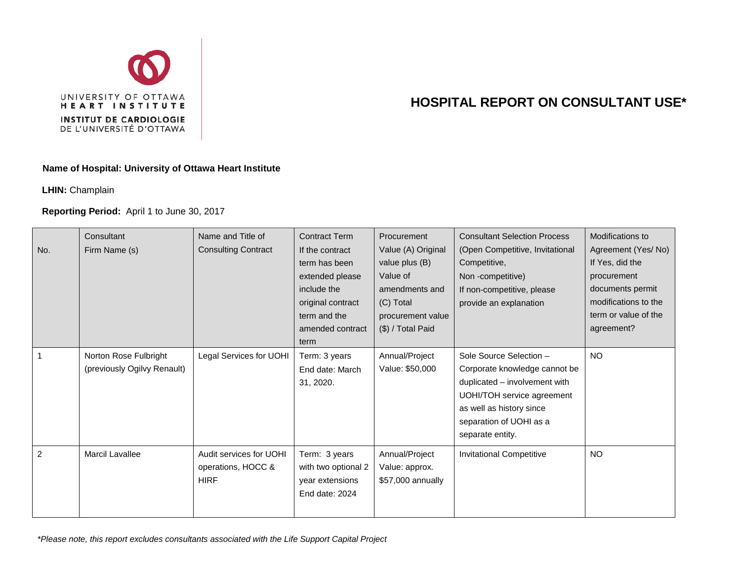

## **HOSPITAL REPORT ON CONSULTANT USE\***

## **Name of Hospital: University of Ottawa Heart Institute**

**LHIN:** Champlain

## **Reporting Period:** April 1 to June 30, 2017

| No. | Consultant<br>Firm Name (s)                          | Name and Title of<br><b>Consulting Contract</b>              | <b>Contract Term</b><br>If the contract<br>term has been<br>extended please<br>include the<br>original contract<br>term and the<br>amended contract<br>term | <b>Procurement</b><br>Value (A) Original<br>value plus (B)<br>Value of<br>amendments and<br>(C) Total<br>procurement value<br>(\$) / Total Paid | <b>Consultant Selection Process</b><br>(Open Competitive, Invitational<br>Competitive,<br>Non-competitive)<br>If non-competitive, please<br>provide an explanation                                 | Modifications to<br>Agreement (Yes/No)<br>If Yes, did the<br>procurement<br>documents permit<br>modifications to the<br>term or value of the<br>agreement? |
|-----|------------------------------------------------------|--------------------------------------------------------------|-------------------------------------------------------------------------------------------------------------------------------------------------------------|-------------------------------------------------------------------------------------------------------------------------------------------------|----------------------------------------------------------------------------------------------------------------------------------------------------------------------------------------------------|------------------------------------------------------------------------------------------------------------------------------------------------------------|
|     | Norton Rose Fulbright<br>(previously Ogilvy Renault) | Legal Services for UOHI                                      | Term: 3 years<br>End date: March<br>31, 2020.                                                                                                               | Annual/Project<br>Value: \$50,000                                                                                                               | Sole Source Selection -<br>Corporate knowledge cannot be<br>duplicated - involvement with<br>UOHI/TOH service agreement<br>as well as history since<br>separation of UOHI as a<br>separate entity. | <b>NO</b>                                                                                                                                                  |
| 2   | <b>Marcil Lavallee</b>                               | Audit services for UOHI<br>operations, HOCC &<br><b>HIRF</b> | Term: 3 years<br>with two optional 2<br>year extensions<br>End date: 2024                                                                                   | Annual/Project<br>Value: approx.<br>\$57,000 annually                                                                                           | <b>Invitational Competitive</b>                                                                                                                                                                    | <b>NO</b>                                                                                                                                                  |

*\*Please note, this report excludes consultants associated with the Life Support Capital Project*